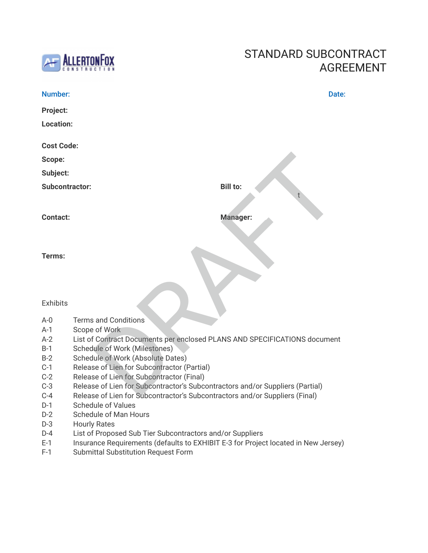

### STANDARD SUBCONTRACT AGREEMENT

| Number:               | Date:                                                                                                                            |
|-----------------------|----------------------------------------------------------------------------------------------------------------------------------|
| Project:              |                                                                                                                                  |
| Location:             |                                                                                                                                  |
| <b>Cost Code:</b>     |                                                                                                                                  |
| Scope:                |                                                                                                                                  |
| Subject:              |                                                                                                                                  |
| <b>Subcontractor:</b> | <b>Bill to:</b>                                                                                                                  |
| <b>Contact:</b>       | <b>Manager:</b>                                                                                                                  |
| Terms:                |                                                                                                                                  |
| <b>Exhibits</b>       |                                                                                                                                  |
| $A - 0$               | <b>Terms and Conditions</b>                                                                                                      |
| $A-1$                 | Scope of Work                                                                                                                    |
| $A-2$                 | List of Contract Documents per enclosed PLANS AND SPECIFICATIONS document                                                        |
| $B-1$                 | <b>Schedule of Work (Milestones)</b>                                                                                             |
| $B-2$                 | Schedule of Work (Absolute Dates)                                                                                                |
| $C-1$                 | Release of Lien for Subcontractor (Partial)                                                                                      |
| $C-2$                 | Release of Lien for Subcontractor (Final)                                                                                        |
| $C-3$                 | Release of Lien for Subcontractor's Subcontractors and/or Suppliers (Partial)                                                    |
| $C-4$                 | Release of Lien for Subcontractor's Subcontractors and/or Suppliers (Final)                                                      |
| $D-1$                 | <b>Schedule of Values</b>                                                                                                        |
| $D-2$                 | <b>Schedule of Man Hours</b>                                                                                                     |
| $D-3$                 | <b>Hourly Rates</b>                                                                                                              |
| $D-4$                 | List of Proposed Sub Tier Subcontractors and/or Suppliers                                                                        |
| $E-1$<br>$F-1$        | Insurance Requirements (defaults to EXHIBIT E-3 for Project located in New Jersey)<br><b>Submittal Substitution Request Form</b> |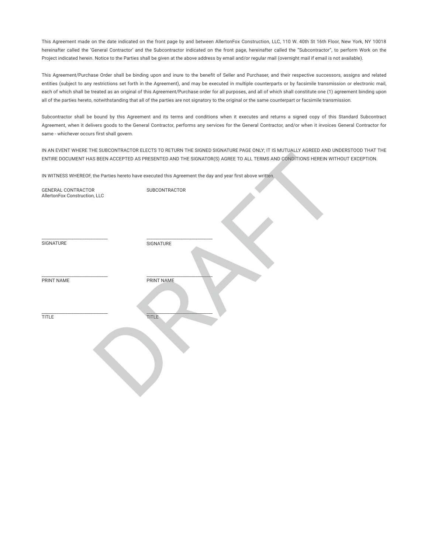This Agreement made on the date indicated on the front page by and between AllertonFox Construction, LLC, 110 W. 40th St 16th Floor, New York, NY 10018 hereinafter called the 'General Contractor' and the Subcontractor indicated on the front page, hereinafter called the "Subcontractor", to perform Work on the Project indicated herein. Notice to the Parties shall be given at the above address by email and/or regular mail (overnight mail if email is not available).

This Agreement/Purchase Order shall be binding upon and inure to the benefit of Seller and Purchaser, and their respective successors, assigns and related entities (subject to any restrictions set forth in the Agreement), and may be executed in multiple counterparts or by facsimile transmission or electronic mail, each of which shall be treated as an original of this Agreement/Purchase order for all purposes, and all of which shall constitute one (1) agreement binding upon all of the parties hereto, notwithstanding that all of the parties are not signatory to the original or the same counterpart or facsimile transmission.

Subcontractor shall be bound by this Agreement and its terms and conditions when it executes and returns a signed copy of this Standard Subcontract Agreement, when it delivers goods to the General Contractor, performs any services for the General Contractor, and/or when it invoices General Contractor for same - whichever occurs first shall govern.

IN AN EVENT WHERE THE SUBCONTRACTOR ELECTS TO RETURN THE SIGNED SIGNATURE PAGE ONLY; IT IS MUTUALLY AGREED AND UNDERSTOOD THAT THE ENTIRE DOCUMENT HAS BEEN ACCEPTED AS PRESENTED AND THE SIGNATOR(S) AGREE TO ALL TERMS AND CONDITIONS HEREIN WITHOUT EXCEPTION.

|                                                            |                                                                                                           | IN AN EXEMPTIONE THE SODOON HAATOM ELLOTS TO NETONN THE SIGNAD SIGNATURE FACE ONER, IT IS MOTOALLE AGNELD AND ON<br>ENTIRE DOCUMENT HAS BEEN ACCEPTED AS PRESENTED AND THE SIGNATOR(S) AGREE TO ALL TERMS AND CONDITIONS HEREIN WITH |
|------------------------------------------------------------|-----------------------------------------------------------------------------------------------------------|--------------------------------------------------------------------------------------------------------------------------------------------------------------------------------------------------------------------------------------|
|                                                            | IN WITNESS WHEREOF, the Parties hereto have executed this Agreement the day and year first above written. |                                                                                                                                                                                                                                      |
| <b>GENERAL CONTRACTOR</b><br>AllertonFox Construction, LLC | SUBCONTRACTOR                                                                                             |                                                                                                                                                                                                                                      |
| SIGNATURE                                                  | SIGNATURE                                                                                                 |                                                                                                                                                                                                                                      |
| PRINT NAME                                                 | PRINT NAME                                                                                                |                                                                                                                                                                                                                                      |
| <b>TITLE</b>                                               | <b>TITLE</b>                                                                                              |                                                                                                                                                                                                                                      |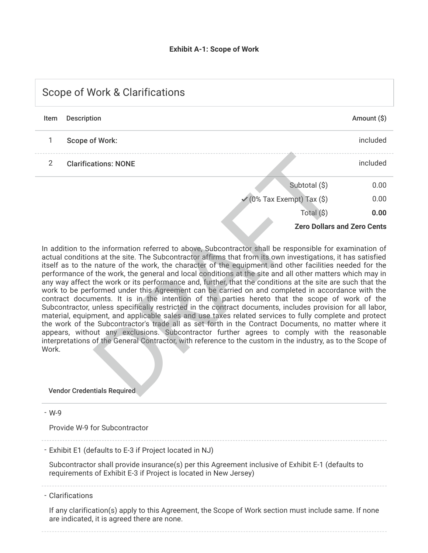| <b>Scope of Work &amp; Clarifications</b> |                             |                                       |                                    |  |  |
|-------------------------------------------|-----------------------------|---------------------------------------|------------------------------------|--|--|
| Item                                      | <b>Description</b>          |                                       | Amount $(\$)$                      |  |  |
| 1                                         | <b>Scope of Work:</b>       |                                       | included                           |  |  |
| $\mathcal{P}$                             | <b>Clarifications: NONE</b> |                                       | included                           |  |  |
|                                           |                             | Subtotal (\$)                         | 0.00                               |  |  |
|                                           |                             | $\checkmark$ (0% Tax Exempt) Tax (\$) | 0.00                               |  |  |
|                                           |                             | Total (\$)                            | 0.00                               |  |  |
|                                           |                             |                                       | <b>Zero Dollars and Zero Cents</b> |  |  |

In addition to the information referred to above, Subcontractor shall be responsible for examination of actual conditions at the site. The Subcontractor affirms that from its own investigations, it has satisfied itself as to the nature of the work, the character of the equipment and other facilities needed for the performance of the work, the general and local conditions at the site and all other matters which may in any way affect the work or its performance and, further, that the conditions at the site are such that the work to be performed under this Agreement can be carried on and completed in accordance with the contract documents. It is in the intention of the parties hereto that the scope of work of the Subcontractor, unless specifically restricted in the contract documents, includes provision for all labor, material, equipment, and applicable sales and use taxes related services to fully complete and protect the work of the Subcontractor's trade all as set forth in the Contract Documents, no matter where it appears, without any exclusions. Subcontractor further agrees to comply with the reasonable interpretations of the General Contractor, with reference to the custom in the industry, as to the Scope of Work. Subtotal (\$)<br>
Subtotal (\$)<br>
Subtotal (\$)<br>
Total (\$)<br>
Total (\$)<br>
Total (\$)<br>
Total (\$)<br>
Total (\$)<br>
Total (\$)<br>
Total (\$)<br>
Total (\$)<br>
Total (\$)<br>
Total (\$)<br>
Total (\$)<br>
Total (\$)<br>
Total (\$)<br>
Total (\$)<br>
Total (\$)<br>
Total (\$)<br>
Tota

#### Vendor Credentials Required

W-9 -

Provide W-9 for Subcontractor

#### - Exhibit E1 (defaults to E-3 if Project located in NJ)

Subcontractor shall provide insurance(s) per this Agreement inclusive of Exhibit E-1 (defaults to requirements of Exhibit E-3 if Project is located in New Jersey)

Clarifications -

If any clarification(s) apply to this Agreement, the Scope of Work section must include same. If none are indicated, it is agreed there are none.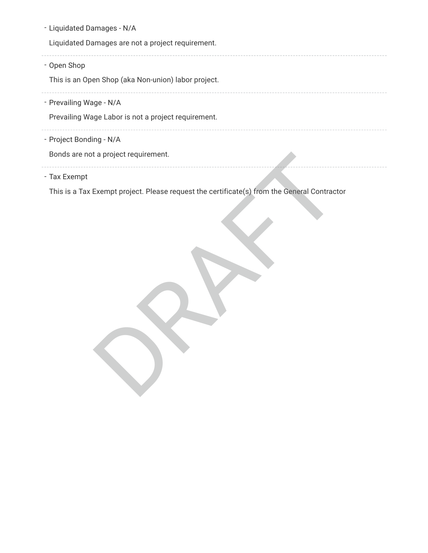| - Liquidated Damages - N/A                                                                                  |
|-------------------------------------------------------------------------------------------------------------|
| Liquidated Damages are not a project requirement.                                                           |
| - Open Shop<br>This is an Open Shop (aka Non-union) labor project.                                          |
| - Prevailing Wage - N/A<br>Prevailing Wage Labor is not a project requirement.                              |
| - Project Bonding - N/A<br>Bonds are not a project requirement.                                             |
| - Tax Exempt<br>This is a Tax Exempt project. Please request the certificate(s) from the General Contractor |
|                                                                                                             |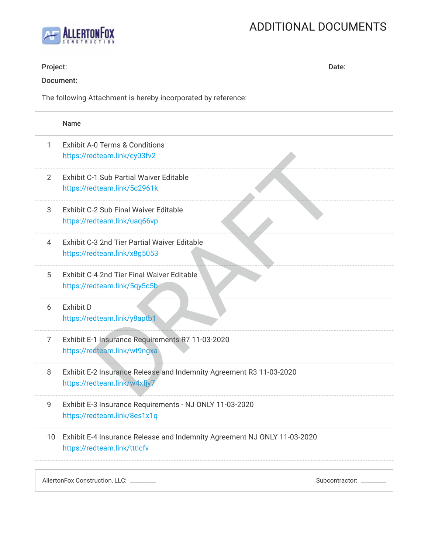# ADDITIONAL DOCUMENTS



| Project:        | Date:                                                                                                    |  |
|-----------------|----------------------------------------------------------------------------------------------------------|--|
|                 | Document:                                                                                                |  |
|                 | The following Attachment is hereby incorporated by reference:                                            |  |
|                 | <b>Name</b>                                                                                              |  |
| 1               | Exhibit A-0 Terms & Conditions<br>https://redteam.link/cy03fv2                                           |  |
| $\overline{2}$  | <b>Exhibit C-1 Sub Partial Waiver Editable</b><br>https://redteam.link/5c2961k                           |  |
| 3               | <b>Exhibit C-2 Sub Final Waiver Editable</b><br>https://redteam.link/uaq66vp                             |  |
| 4               | Exhibit C-3 2nd Tier Partial Waiver Editable<br>https://redteam.link/x8g5053                             |  |
| 5               | Exhibit C-4 2nd Tier Final Waiver Editable<br>https://redteam.link/5qy5c5b                               |  |
| 6               | <b>Exhibit D</b><br>https://redteam.link/y8aptb1                                                         |  |
| 7               | Exhibit E-1 Insurance Requirements R7 11-03-2020<br>https://redteam.link/wt9ngxa                         |  |
| 8.              | Exhibit E-2 Insurance Release and Indemnity Agreement R3 11-03-2020<br>https://redteam.link/w4xfjy7      |  |
| 9               | Exhibit E-3 Insurance Requirements - NJ ONLY 11-03-2020<br>https://redteam.link/8es1x1q                  |  |
| 10 <sup>°</sup> | Exhibit E-4 Insurance Release and Indemnity Agreement NJ ONLY 11-03-2020<br>https://redteam.link/tttlcfv |  |
|                 | AllertonFox Construction, LLC: _______<br>Subcontractor: _____                                           |  |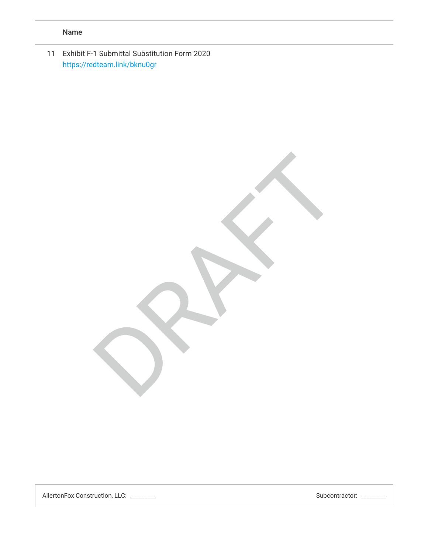### Name

11 Exhibit F-1 Submittal Substitution Form 2020 <https://redteam.link/bknu0gr>

RRAFT

AllertonFox Construction, LLC: \_\_\_\_\_\_\_\_\_ Subcontractor: \_\_\_\_\_\_\_\_\_